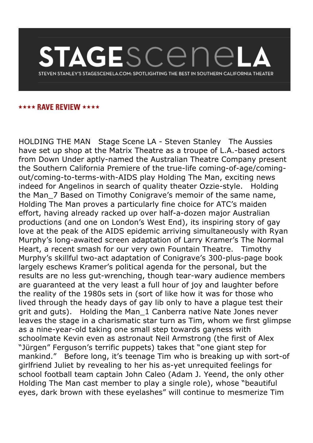## TAGESCENE STEVEN STANLEY'S STAGESCENELA.COM: SPOTLIGHTING THE BEST IN SOUTHERN CALIFORNIA THEATER

## \*\*\*\* RAVE REVIEW \*\*\*\*

HOLDING THE MAN Stage Scene LA - Steven Stanley The Aussies have set up shop at the Matrix Theatre as a troupe of L.A.-based actors from Down Under aptly-named the Australian Theatre Company present the Southern California Premiere of the true-life coming-of-age/comingout/coming-to-terms-with-AIDS play Holding The Man, exciting news indeed for Angelinos in search of quality theater Ozzie-style. Holding the Man 7 Based on Timothy Conigrave's memoir of the same name, Holding The Man proves a particularly fine choice for ATC's maiden effort, having already racked up over half-a-dozen major Australian productions (and one on London's West End), its inspiring story of gay love at the peak of the AIDS epidemic arriving simultaneously with Ryan Murphy's long-awaited screen adaptation of Larry Kramer's The Normal Heart, a recent smash for our very own Fountain Theatre. Timothy Murphy's skillful two-act adaptation of Conigrave's 300-plus-page book largely eschews Kramer's political agenda for the personal, but the results are no less gut-wrenching, though tear-wary audience members are guaranteed at the very least a full hour of joy and laughter before the reality of the 1980s sets in (sort of like how it was for those who lived through the heady days of gay lib only to have a plague test their grit and guts). Holding the Man\_1 Canberra native Nate Jones never leaves the stage in a charismatic star turn as Tim, whom we first glimpse as a nine-year-old taking one small step towards gayness with schoolmate Kevin even as astronaut Neil Armstrong (the first of Alex "Jürgen" Ferguson's terrific puppets) takes that "one giant step for mankind." Before long, it's teenage Tim who is breaking up with sort-of girlfriend Juliet by revealing to her his as-yet unrequited feelings for school football team captain John Caleo (Adam J. Yeend, the only other Holding The Man cast member to play a single role), whose "beautiful eyes, dark brown with these eyelashes" will continue to mesmerize Tim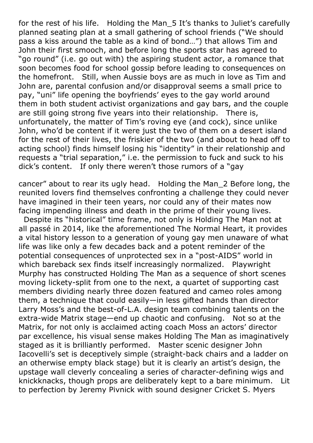for the rest of his life. Holding the Man 5 It's thanks to Juliet's carefully planned seating plan at a small gathering of school friends ("We should pass a kiss around the table as a kind of bond…") that allows Tim and John their first smooch, and before long the sports star has agreed to "go round" (i.e. go out with) the aspiring student actor, a romance that soon becomes food for school gossip before leading to consequences on the homefront. Still, when Aussie boys are as much in love as Tim and John are, parental confusion and/or disapproval seems a small price to pay, "uni" life opening the boyfriends' eyes to the gay world around them in both student activist organizations and gay bars, and the couple are still going strong five years into their relationship. There is, unfortunately, the matter of Tim's roving eye (and cock), since unlike John, who'd be content if it were just the two of them on a desert island for the rest of their lives, the friskier of the two (and about to head off to acting school) finds himself losing his "identity" in their relationship and requests a "trial separation," i.e. the permission to fuck and suck to his dick's content. If only there weren't those rumors of a "gay

cancer" about to rear its ugly head. Holding the Man\_2 Before long, the reunited lovers find themselves confronting a challenge they could never have imagined in their teen years, nor could any of their mates now facing impending illness and death in the prime of their young lives.

 Despite its "historical" time frame, not only is Holding The Man not at all passé in 2014, like the aforementioned The Normal Heart, it provides a vital history lesson to a generation of young gay men unaware of what life was like only a few decades back and a potent reminder of the potential consequences of unprotected sex in a "post-AIDS" world in which bareback sex finds itself increasingly normalized. Playwright Murphy has constructed Holding The Man as a sequence of short scenes moving lickety-split from one to the next, a quartet of supporting cast members dividing nearly three dozen featured and cameo roles among them, a technique that could easily—in less gifted hands than director Larry Moss's and the best-of-L.A. design team combining talents on the extra-wide Matrix stage—end up chaotic and confusing. Not so at the Matrix, for not only is acclaimed acting coach Moss an actors' director par excellence, his visual sense makes Holding The Man as imaginatively staged as it is brilliantly performed. Master scenic designer John Iacovelli's set is deceptively simple (straight-back chairs and a ladder on an otherwise empty black stage) but it is clearly an artist's design, the upstage wall cleverly concealing a series of character-defining wigs and knickknacks, though props are deliberately kept to a bare minimum. Lit to perfection by Jeremy Pivnick with sound designer Cricket S. Myers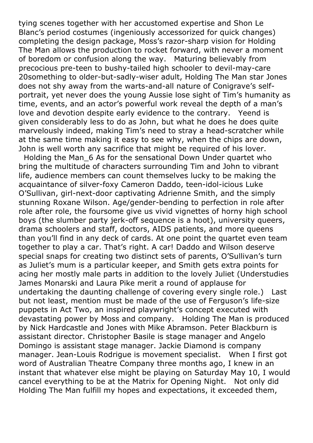tying scenes together with her accustomed expertise and Shon Le Blanc's period costumes (ingeniously accessorized for quick changes) completing the design package, Moss's razor-sharp vision for Holding The Man allows the production to rocket forward, with never a moment of boredom or confusion along the way. Maturing believably from precocious pre-teen to bushy-tailed high schooler to devil-may-care 20something to older-but-sadly-wiser adult, Holding The Man star Jones does not shy away from the warts-and-all nature of Conigrave's selfportrait, yet never does the young Aussie lose sight of Tim's humanity as time, events, and an actor's powerful work reveal the depth of a man's love and devotion despite early evidence to the contrary. Yeend is given considerably less to do as John, but what he does he does quite marvelously indeed, making Tim's need to stray a head-scratcher while at the same time making it easy to see why, when the chips are down, John is well worth any sacrifice that might be required of his lover.

 Holding the Man\_6 As for the sensational Down Under quartet who bring the multitude of characters surrounding Tim and John to vibrant life, audience members can count themselves lucky to be making the acquaintance of silver-foxy Cameron Daddo, teen-idol-icious Luke O'Sullivan, girl-next-door captivating Adrienne Smith, and the simply stunning Roxane Wilson. Age/gender-bending to perfection in role after role after role, the foursome give us vivid vignettes of horny high school boys (the slumber party jerk-off sequence is a hoot), university queers, drama schoolers and staff, doctors, AIDS patients, and more queens than you'll find in any deck of cards. At one point the quartet even team together to play a car. That's right. A car! Daddo and Wilson deserve special snaps for creating two distinct sets of parents, O'Sullivan's turn as Juliet's mum is a particular keeper, and Smith gets extra points for acing her mostly male parts in addition to the lovely Juliet (Understudies James Monarski and Laura Pike merit a round of applause for undertaking the daunting challenge of covering every single role.) Last but not least, mention must be made of the use of Ferguson's life-size puppets in Act Two, an inspired playwright's concept executed with devastating power by Moss and company. Holding The Man is produced by Nick Hardcastle and Jones with Mike Abramson. Peter Blackburn is assistant director. Christopher Basile is stage manager and Angelo Domingo is assistant stage manager. Jackie Diamond is company manager. Jean-Louis Rodrigue is movement specialist. When I first got word of Australian Theatre Company three months ago, I knew in an instant that whatever else might be playing on Saturday May 10, I would cancel everything to be at the Matrix for Opening Night. Not only did Holding The Man fulfill my hopes and expectations, it exceeded them,